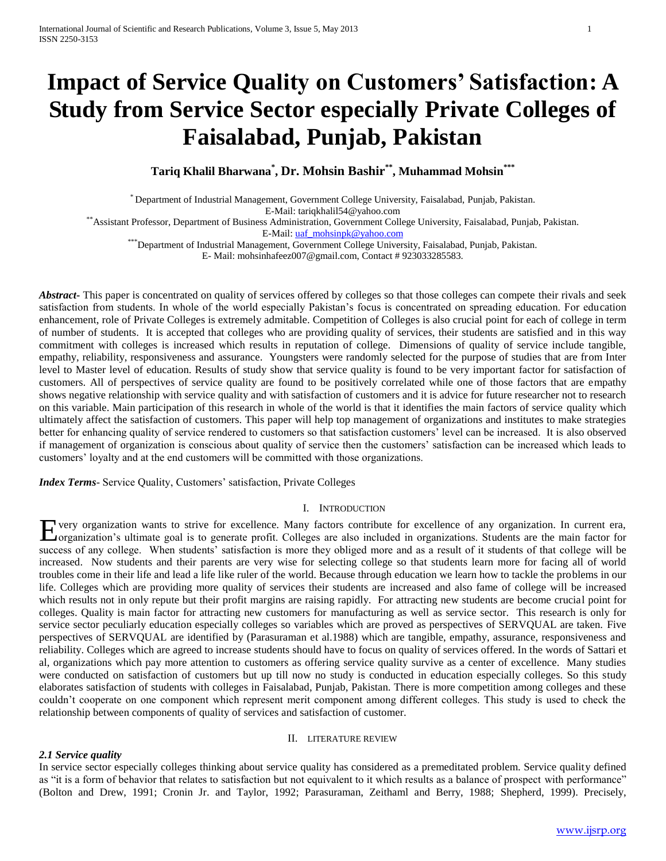# **Impact of Service Quality on Customers' Satisfaction: A Study from Service Sector especially Private Colleges of Faisalabad, Punjab, Pakistan**

**Tariq Khalil Bharwana\* , Dr. Mohsin Bashir\*\* , Muhammad Mohsin\*\*\***

\* Department of Industrial Management, Government College University, Faisalabad, Punjab, Pakistan. E-Mail: tariqkhalil54@yahoo.com

\*\*Assistant Professor, Department of Business Administration, Government College University, Faisalabad, Punjab, Pakistan.

E-Mail[: uaf\\_mohsinpk@yahoo.com](mailto:uaf_mohsinpk@yahoo.com)

\*\*\*Department of Industrial Management, Government College University, Faisalabad, Punjab, Pakistan.

E- Mail[: mohsinhafeez007@gmail.com,](mailto:mohsinhafeez007@gmail.com) Contact # 923033285583.

Abstract<sub>ract</sub> This paper is concentrated on quality of services offered by colleges so that those colleges can compete their rivals and seek satisfaction from students. In whole of the world especially Pakistan's focus is concentrated on spreading education. For education enhancement, role of Private Colleges is extremely admitable. Competition of Colleges is also crucial point for each of college in term of number of students. It is accepted that colleges who are providing quality of services, their students are satisfied and in this way commitment with colleges is increased which results in reputation of college. Dimensions of quality of service include tangible, empathy, reliability, responsiveness and assurance. Youngsters were randomly selected for the purpose of studies that are from Inter level to Master level of education. Results of study show that service quality is found to be very important factor for satisfaction of customers. All of perspectives of service quality are found to be positively correlated while one of those factors that are empathy shows negative relationship with service quality and with satisfaction of customers and it is advice for future researcher not to research on this variable. Main participation of this research in whole of the world is that it identifies the main factors of service quality which ultimately affect the satisfaction of customers. This paper will help top management of organizations and institutes to make strategies better for enhancing quality of service rendered to customers so that satisfaction customers' level can be increased. It is also observed if management of organization is conscious about quality of service then the customers' satisfaction can be increased which leads to customers' loyalty and at the end customers will be committed with those organizations.

*Index Terms*- Service Quality, Customers' satisfaction, Private Colleges

# I. INTRODUCTION

Every organization wants to strive for excellence. Many factors contribute for excellence of any organization. In current era, Corganization's ultimate goal is to generate profit. Colleges are also included in organization **Z**organization's ultimate goal is to generate profit. Colleges are also included in organizations. Students are the main factor for success of any college. When students' satisfaction is more they obliged more and as a result of it students of that college will be increased. Now students and their parents are very wise for selecting college so that students learn more for facing all of world troubles come in their life and lead a life like ruler of the world. Because through education we learn how to tackle the problems in our life. Colleges which are providing more quality of services their students are increased and also fame of college will be increased which results not in only repute but their profit margins are raising rapidly. For attracting new students are become crucial point for colleges. Quality is main factor for attracting new customers for manufacturing as well as service sector. This research is only for service sector peculiarly education especially colleges so variables which are proved as perspectives of SERVQUAL are taken. Five perspectives of SERVQUAL are identified by (Parasuraman et al.1988) which are tangible, empathy, assurance, responsiveness and reliability. Colleges which are agreed to increase students should have to focus on quality of services offered. In the words of Sattari et al, organizations which pay more attention to customers as offering service quality survive as a center of excellence. Many studies were conducted on satisfaction of customers but up till now no study is conducted in education especially colleges. So this study elaborates satisfaction of students with colleges in Faisalabad, Punjab, Pakistan. There is more competition among colleges and these couldn't cooperate on one component which represent merit component among different colleges. This study is used to check the relationship between components of quality of services and satisfaction of customer.

## II. LITERATURE REVIEW

# *2.1 Service quality*

In service sector especially colleges thinking about service quality has considered as a premeditated problem. Service quality defined as "it is a form of behavior that relates to satisfaction but not equivalent to it which results as a balance of prospect with performance" (Bolton and Drew, 1991; Cronin Jr. and Taylor, 1992; Parasuraman, Zeithaml and Berry, 1988; Shepherd, 1999). Precisely,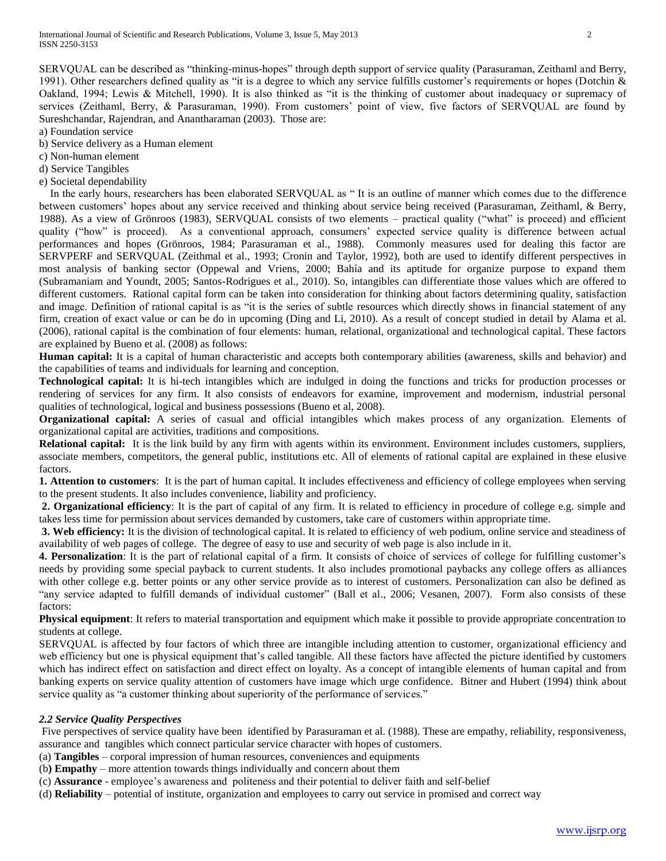SERVQUAL can be described as "thinking-minus-hopes" through depth support of service quality (Parasuraman, Zeithaml and Berry, 1991). Other researchers defined quality as "it is a degree to which any service fulfills customer's requirements or hopes (Dotchin  $\&$ Oakland, 1994; Lewis & Mitchell, 1990). It is also thinked as "it is the thinking of customer about inadequacy or supremacy of services (Zeithaml, Berry, & Parasuraman, 1990). From customers' point of view, five factors of SERVQUAL are found by Sureshchandar, Rajendran, and Anantharaman (2003). Those are:

a) Foundation service

- b) Service delivery as a Human element
- c) Non-human element
- d) Service Tangibles
- e) Societal dependability

 In the early hours, researchers has been elaborated SERVQUAL as " It is an outline of manner which comes due to the difference between customers' hopes about any service received and thinking about service being received (Parasuraman, Zeithaml, & Berry, 1988). As a view of Grönroos (1983), SERVQUAL consists of two elements – practical quality ("what" is proceed) and efficient quality ("how" is proceed). As a conventional approach, consumers' expected service quality is difference between actual performances and hopes (Grönroos, 1984; Parasuraman et al., 1988). Commonly measures used for dealing this factor are SERVPERF and SERVQUAL (Zeithmal et al., 1993; Cronin and Taylor, 1992), both are used to identify different perspectives in most analysis of banking sector (Oppewal and Vriens, 2000; Bahía and its aptitude for organize purpose to expand them (Subramaniam and Youndt, 2005; Santos-Rodrigues et al., 2010). So, intangibles can differentiate those values which are offered to different customers. Rational capital form can be taken into consideration for thinking about factors determining quality, satisfaction and image. Definition of rational capital is as "it is the series of subtle resources which directly shows in financial statement of any firm, creation of exact value or can be do in upcoming (Ding and Li, 2010). As a result of concept studied in detail by Alama et al. (2006), rational capital is the combination of four elements: human, relational, organizational and technological capital. These factors are explained by Bueno et al. (2008) as follows:

**Human capital:** It is a capital of human characteristic and accepts both contemporary abilities (awareness, skills and behavior) and the capabilities of teams and individuals for learning and conception.

**Technological capital:** It is hi-tech intangibles which are indulged in doing the functions and tricks for production processes or rendering of services for any firm. It also consists of endeavors for examine, improvement and modernism, industrial personal qualities of technological, logical and business possessions (Bueno et al, 2008).

**Organizational capital:** A series of casual and official intangibles which makes process of any organization. Elements of organizational capital are activities, traditions and compositions.

**Relational capital:** It is the link build by any firm with agents within its environment. Environment includes customers, suppliers, associate members, competitors, the general public, institutions etc. All of elements of rational capital are explained in these elusive factors.

**1. Attention to customers**: It is the part of human capital. It includes effectiveness and efficiency of college employees when serving to the present students. It also includes convenience, liability and proficiency.

**2. Organizational efficiency**: It is the part of capital of any firm. It is related to efficiency in procedure of college e.g. simple and takes less time for permission about services demanded by customers, take care of customers within appropriate time.

**3. Web efficiency:** It is the division of technological capital. It is related to efficiency of web podium, online service and steadiness of availability of web pages of college. The degree of easy to use and security of web page is also include in it.

**4. Personalization**: It is the part of relational capital of a firm. It consists of choice of services of college for fulfilling customer's needs by providing some special payback to current students. It also includes promotional paybacks any college offers as alliances with other college e.g. better points or any other service provide as to interest of customers. Personalization can also be defined as "any service adapted to fulfill demands of individual customer" (Ball et al., 2006; Vesanen, 2007). Form also consists of these factors:

**Physical equipment**: It refers to material transportation and equipment which make it possible to provide appropriate concentration to students at college.

SERVQUAL is affected by four factors of which three are intangible including attention to customer, organizational efficiency and web efficiency but one is physical equipment that's called tangible. All these factors have affected the picture identified by customers which has indirect effect on satisfaction and direct effect on loyalty. As a concept of intangible elements of human capital and from banking experts on service quality attention of customers have image which urge confidence. Bitner and Hubert (1994) think about service quality as "a customer thinking about superiority of the performance of services."

## *2.2 Service Quality Perspectives*

Five perspectives of service quality have been identified by Parasuraman et al. (1988). These are empathy, reliability, responsiveness, assurance and tangibles which connect particular service character with hopes of customers.

- (a) **Tangibles** corporal impression of human resources, conveniences and equipments
- (b**) Empathy** more attention towards things individually and concern about them
- (c) **Assurance** employee's awareness and politeness and their potential to deliver faith and self-belief
- (d) **Reliability** potential of institute, organization and employees to carry out service in promised and correct way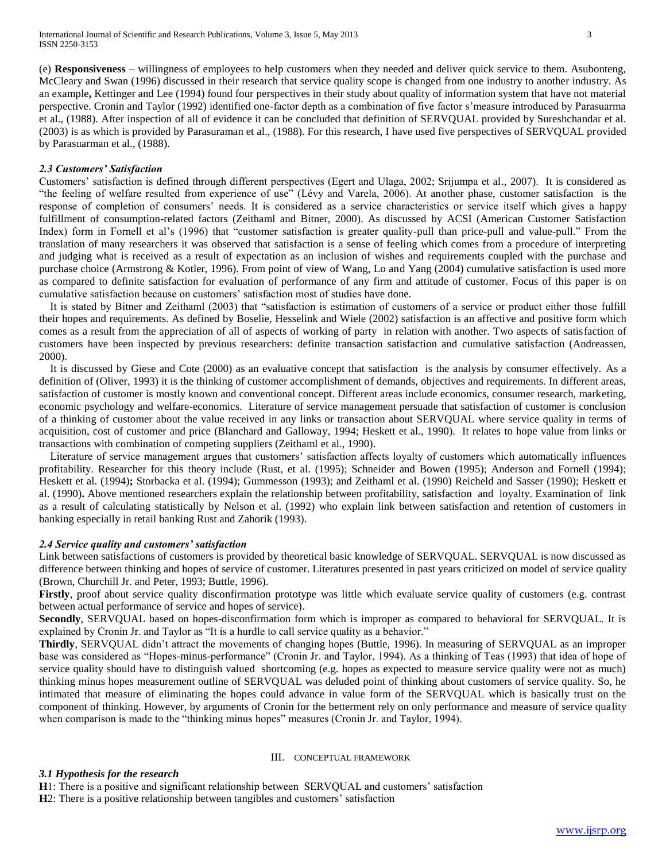(e) **Responsiveness** – willingness of employees to help customers when they needed and deliver quick service to them. Asubonteng, McCleary and Swan (1996) discussed in their research that service quality scope is changed from one industry to another industry. As an example**,** Kettinger and Lee (1994) found four perspectives in their study about quality of information system that have not material perspective. Cronin and Taylor (1992) identified one-factor depth as a combination of five factor s'measure introduced by Parasuarma et al., (1988). After inspection of all of evidence it can be concluded that definition of SERVQUAL provided by Sureshchandar et al. (2003) is as which is provided by Parasuraman et al., (1988). For this research, I have used five perspectives of SERVQUAL provided by Parasuarman et al., (1988).

#### *2.3 Customers' Satisfaction*

Customers' satisfaction is defined through different perspectives (Egert and Ulaga, 2002; Srijumpa et al., 2007). It is considered as "the feeling of welfare resulted from experience of use" (Lévy and Varela, 2006). At another phase, customer satisfaction is the response of completion of consumers' needs. It is considered as a service characteristics or service itself which gives a happy fulfillment of consumption-related factors (Zeithaml and Bitner, 2000). As discussed by ACSI (American Customer Satisfaction Index) form in Fornell et al's (1996) that "customer satisfaction is greater quality-pull than price-pull and value-pull." From the translation of many researchers it was observed that satisfaction is a sense of feeling which comes from a procedure of interpreting and judging what is received as a result of expectation as an inclusion of wishes and requirements coupled with the purchase and purchase choice (Armstrong & Kotler, 1996). From point of view of Wang, Lo and Yang (2004) cumulative satisfaction is used more as compared to definite satisfaction for evaluation of performance of any firm and attitude of customer. Focus of this paper is on cumulative satisfaction because on customers' satisfaction most of studies have done.

 It is stated by Bitner and Zeithaml (2003) that "satisfaction is estimation of customers of a service or product either those fulfill their hopes and requirements. As defined by Boselie, Hesselink and Wiele (2002) satisfaction is an affective and positive form which comes as a result from the appreciation of all of aspects of working of party in relation with another. Two aspects of satisfaction of customers have been inspected by previous researchers: definite transaction satisfaction and cumulative satisfaction (Andreassen, 2000).

 It is discussed by Giese and Cote (2000) as an evaluative concept that satisfaction is the analysis by consumer effectively. As a definition of (Oliver, 1993) it is the thinking of customer accomplishment of demands, objectives and requirements. In different areas, satisfaction of customer is mostly known and conventional concept. Different areas include economics, consumer research, marketing, economic psychology and welfare-economics. Literature of service management persuade that satisfaction of customer is conclusion of a thinking of customer about the value received in any links or transaction about SERVQUAL where service quality in terms of acquisition, cost of customer and price (Blanchard and Galloway, 1994; Heskett et al., 1990). It relates to hope value from links or transactions with combination of competing suppliers (Zeithaml et al., 1990).

 Literature of service management argues that customers' satisfaction affects loyalty of customers which automatically influences profitability. Researcher for this theory include (Rust, et al. (1995); Schneider and Bowen (1995); Anderson and Fornell (1994); Heskett et al. (1994)**;** Storbacka et al. (1994); Gummesson (1993); and Zeithaml et al. (1990) Reicheld and Sasser (1990); Heskett et al. (1990)**.** Above mentioned researchers explain the relationship between profitability, satisfaction and loyalty. Examination of link as a result of calculating statistically by Nelson et al. (1992) who explain link between satisfaction and retention of customers in banking especially in retail banking Rust and Zahorik (1993).

#### *2.4 Service quality and customers' satisfaction*

Link between satisfactions of customers is provided by theoretical basic knowledge of SERVQUAL. SERVQUAL is now discussed as difference between thinking and hopes of service of customer. Literatures presented in past years criticized on model of service quality (Brown, Churchill Jr. and Peter, 1993; Buttle, 1996).

Firstly, proof about service quality disconfirmation prototype was little which evaluate service quality of customers (e.g. contrast between actual performance of service and hopes of service).

**Secondly**, SERVQUAL based on hopes-disconfirmation form which is improper as compared to behavioral for SERVQUAL. It is explained by Cronin Jr. and Taylor as "It is a hurdle to call service quality as a behavior."

**Thirdly**, SERVQUAL didn't attract the movements of changing hopes (Buttle, 1996). In measuring of SERVQUAL as an improper base was considered as "Hopes-minus-performance" (Cronin Jr. and Taylor, 1994). As a thinking of Teas (1993) that idea of hope of service quality should have to distinguish valued shortcoming (e.g. hopes as expected to measure service quality were not as much) thinking minus hopes measurement outline of SERVQUAL was deluded point of thinking about customers of service quality. So, he intimated that measure of eliminating the hopes could advance in value form of the SERVQUAL which is basically trust on the component of thinking. However, by arguments of Cronin for the betterment rely on only performance and measure of service quality when comparison is made to the "thinking minus hopes" measures (Cronin Jr. and Taylor, 1994).

## III. CONCEPTUAL FRAMEWORK

#### *3.1 Hypothesis for the research*

**H**1: There is a positive and significant relationship between SERVQUAL and customers' satisfaction

**H**2: There is a positive relationship between tangibles and customers' satisfaction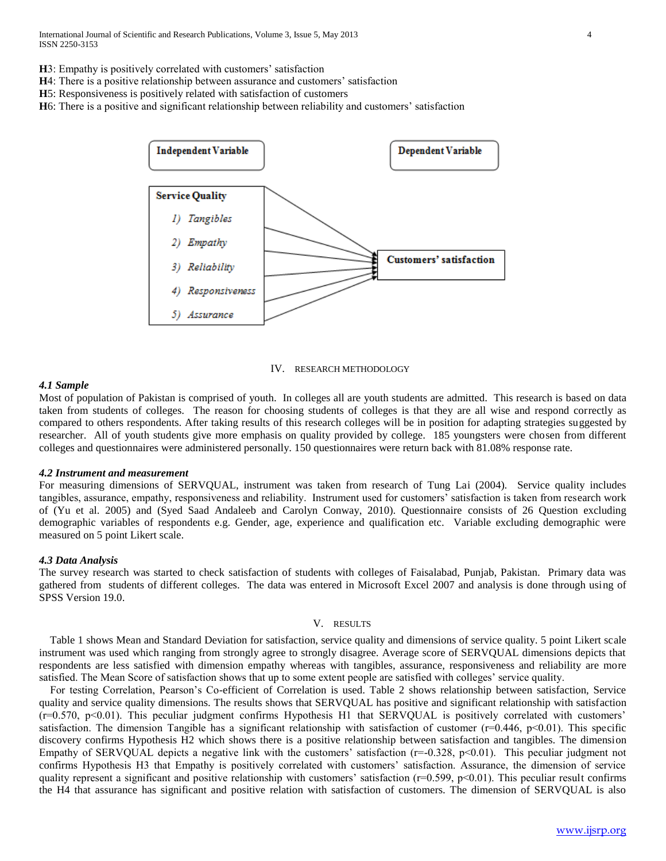International Journal of Scientific and Research Publications, Volume 3, Issue 5, May 2013 4 ISSN 2250-3153

- **H**3: Empathy is positively correlated with customers' satisfaction
- **H**4: There is a positive relationship between assurance and customers' satisfaction
- **H**5: Responsiveness is positively related with satisfaction of customers
- **H**6: There is a positive and significant relationship between reliability and customers' satisfaction



IV. RESEARCH METHODOLOGY

#### *4.1 Sample*

Most of population of Pakistan is comprised of youth. In colleges all are youth students are admitted. This research is based on data taken from students of colleges. The reason for choosing students of colleges is that they are all wise and respond correctly as compared to others respondents. After taking results of this research colleges will be in position for adapting strategies suggested by researcher. All of youth students give more emphasis on quality provided by college. 185 youngsters were chosen from different colleges and questionnaires were administered personally. 150 questionnaires were return back with 81.08% response rate.

#### *4.2 Instrument and measurement*

For measuring dimensions of SERVQUAL, instrument was taken from research of Tung Lai (2004). Service quality includes tangibles, assurance, empathy, responsiveness and reliability. Instrument used for customers' satisfaction is taken from research work of (Yu et al. 2005) and (Syed Saad Andaleeb and Carolyn Conway, 2010). Questionnaire consists of 26 Question excluding demographic variables of respondents e.g. Gender, age, experience and qualification etc. Variable excluding demographic were measured on 5 point Likert scale.

## *4.3 Data Analysis*

The survey research was started to check satisfaction of students with colleges of Faisalabad, Punjab, Pakistan. Primary data was gathered from students of different colleges. The data was entered in Microsoft Excel 2007 and analysis is done through using of SPSS Version 19.0.

#### V. RESULTS

 Table 1 shows Mean and Standard Deviation for satisfaction, service quality and dimensions of service quality. 5 point Likert scale instrument was used which ranging from strongly agree to strongly disagree. Average score of SERVQUAL dimensions depicts that respondents are less satisfied with dimension empathy whereas with tangibles, assurance, responsiveness and reliability are more satisfied. The Mean Score of satisfaction shows that up to some extent people are satisfied with colleges' service quality.

 For testing Correlation, Pearson's Co-efficient of Correlation is used. Table 2 shows relationship between satisfaction, Service quality and service quality dimensions. The results shows that SERVQUAL has positive and significant relationship with satisfaction  $(r=0.570, p<0.01)$ . This peculiar judgment confirms Hypothesis H1 that SERVQUAL is positively correlated with customers' satisfaction. The dimension Tangible has a significant relationship with satisfaction of customer ( $r=0.446$ ,  $p<0.01$ ). This specific discovery confirms Hypothesis H2 which shows there is a positive relationship between satisfaction and tangibles. The dimension Empathy of SERVQUAL depicts a negative link with the customers' satisfaction (r=-0.328, p<0.01). This peculiar judgment not confirms Hypothesis H3 that Empathy is positively correlated with customers' satisfaction. Assurance, the dimension of service quality represent a significant and positive relationship with customers' satisfaction  $(r=0.599, p<0.01)$ . This peculiar result confirms the H4 that assurance has significant and positive relation with satisfaction of customers. The dimension of SERVQUAL is also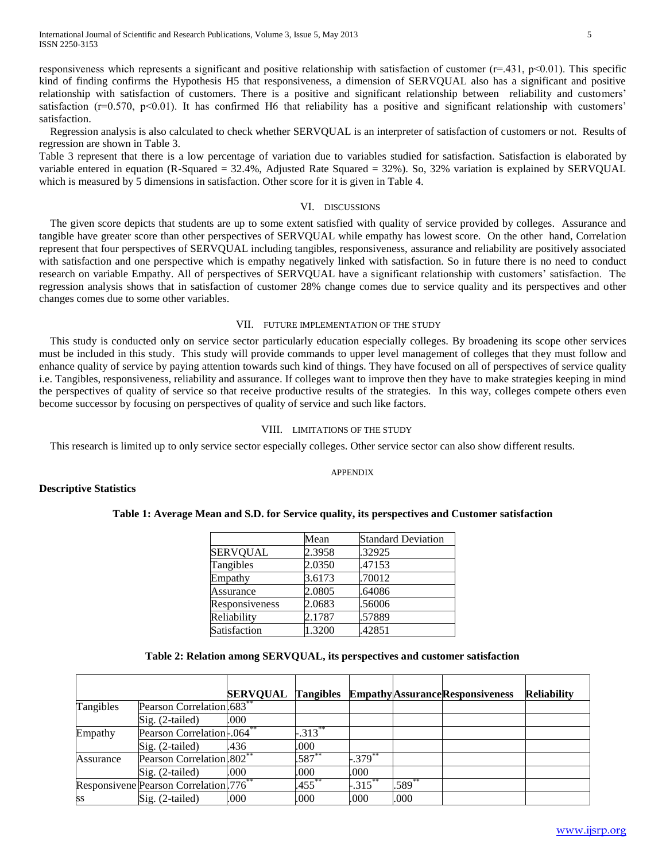responsiveness which represents a significant and positive relationship with satisfaction of customer  $(r=.431, p<0.01)$ . This specific kind of finding confirms the Hypothesis H5 that responsiveness, a dimension of SERVQUAL also has a significant and positive relationship with satisfaction of customers. There is a positive and significant relationship between reliability and customers' satisfaction  $(r=0.570, p<0.01)$ . It has confirmed H6 that reliability has a positive and significant relationship with customers' satisfaction.

 Regression analysis is also calculated to check whether SERVQUAL is an interpreter of satisfaction of customers or not. Results of regression are shown in Table 3.

Table 3 represent that there is a low percentage of variation due to variables studied for satisfaction. Satisfaction is elaborated by variable entered in equation (R-Squared = 32.4%, Adjusted Rate Squared = 32%). So, 32% variation is explained by SERVQUAL which is measured by 5 dimensions in satisfaction. Other score for it is given in Table 4.

## VI. DISCUSSIONS

 The given score depicts that students are up to some extent satisfied with quality of service provided by colleges. Assurance and tangible have greater score than other perspectives of SERVQUAL while empathy has lowest score. On the other hand, Correlation represent that four perspectives of SERVQUAL including tangibles, responsiveness, assurance and reliability are positively associated with satisfaction and one perspective which is empathy negatively linked with satisfaction. So in future there is no need to conduct research on variable Empathy. All of perspectives of SERVQUAL have a significant relationship with customers' satisfaction. The regression analysis shows that in satisfaction of customer 28% change comes due to service quality and its perspectives and other changes comes due to some other variables.

## VII. FUTURE IMPLEMENTATION OF THE STUDY

 This study is conducted only on service sector particularly education especially colleges. By broadening its scope other services must be included in this study. This study will provide commands to upper level management of colleges that they must follow and enhance quality of service by paying attention towards such kind of things. They have focused on all of perspectives of service quality i.e. Tangibles, responsiveness, reliability and assurance. If colleges want to improve then they have to make strategies keeping in mind the perspectives of quality of service so that receive productive results of the strategies. In this way, colleges compete others even become successor by focusing on perspectives of quality of service and such like factors.

## VIII. LIMITATIONS OF THE STUDY

This research is limited up to only service sector especially colleges. Other service sector can also show different results.

## APPENDIX

## **Descriptive Statistics**

## **Table 1: Average Mean and S.D. for Service quality, its perspectives and Customer satisfaction**

|                 | Mean   | <b>Standard Deviation</b> |
|-----------------|--------|---------------------------|
| <b>SERVQUAL</b> | 2.3958 | .32925                    |
| Tangibles       | 2.0350 | .47153                    |
| Empathy         | 3.6173 | .70012                    |
| Assurance       | 2.0805 | .64086                    |
| Responsiveness  | 2.0683 | .56006                    |
| Reliability     | 2.1787 | .57889                    |
| Satisfaction    | 1.3200 | .42851                    |

## **Table 2: Relation among SERVQUAL, its perspectives and customer satisfaction**

|           |                                                    | <b>SERVQUAL Tangibles</b> |             |            |          | <b>Empathy Assurance Responsiveness</b> | <b>Reliability</b> |
|-----------|----------------------------------------------------|---------------------------|-------------|------------|----------|-----------------------------------------|--------------------|
| Tangibles | Pearson Correlation.683 <sup>**</sup>              |                           |             |            |          |                                         |                    |
|           | $Sig. (2-tailed)$                                  | .000                      |             |            |          |                                         |                    |
| Empathy   | Pearson Correlation-.064 <sup>**</sup>             |                           | $-313^{**}$ |            |          |                                         |                    |
|           | Sig. (2-tailed)                                    | .436                      | .000        |            |          |                                         |                    |
| Assurance | Pearson Correlation.802 <sup>**</sup>              |                           | $.587^{**}$ | $-.379***$ |          |                                         |                    |
|           | Sig. (2-tailed)                                    | .000                      | .000        | .000       |          |                                         |                    |
|           | Responsivene Pearson Correlation 776 <sup>**</sup> |                           | $.455***$   | $-315$ **  | $.589**$ |                                         |                    |
| <b>SS</b> | $Sig. (2-tailed)$                                  | .000                      | .000        | .000       | .000     |                                         |                    |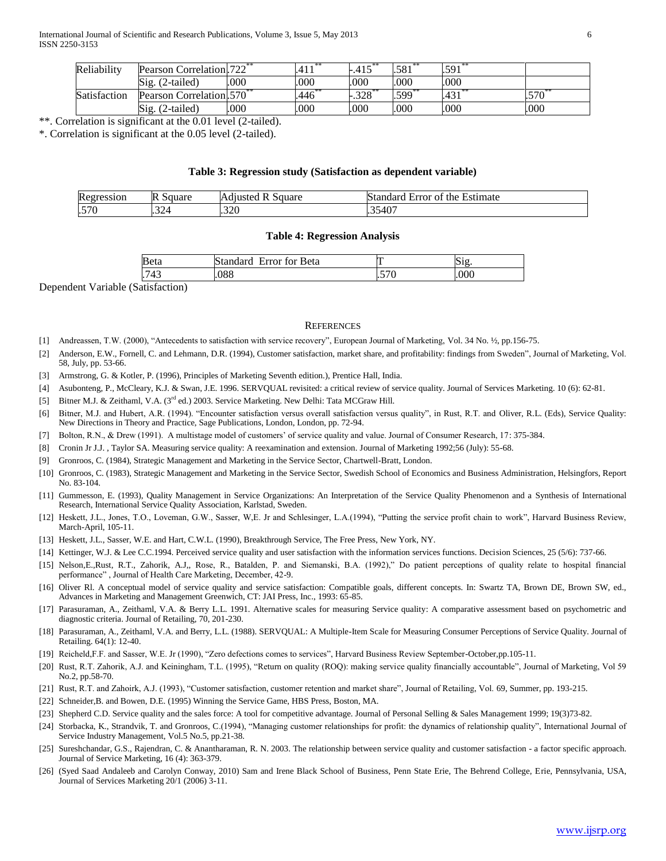| Reliability  | Pearson Correlation.722 <sup>**</sup> |      | $4.11*$ <sup>**</sup><br>.411 | $.415^{\degree}$ | .581                | $.591$ <sup>*</sup>         |            |
|--------------|---------------------------------------|------|-------------------------------|------------------|---------------------|-----------------------------|------------|
|              | Sig.<br>$(2-tailed)$                  | 000  | .000                          | .000             | .000                | 000                         |            |
| Satisfaction | Pearson Correlation. 570 <sup>*</sup> |      | .446                          | $-.328$ **       | $.599$ <sup>*</sup> | $1.421$ <sup>2</sup><br>401 | $.570^{6}$ |
|              | Sig.<br>(2-tailed)                    | .000 | .000                          | .000             | .000                | .000                        | .000       |

\*\*. Correlation is significant at the 0.01 level (2-tailed).

\*. Correlation is significant at the 0.05 level (2-tailed).

#### **Table 3: Regression study (Satisfaction as dependent variable)**

| Regression | R<br>- auare د                        | Square<br>$\alpha$ uste $\alpha$ .<br>n | Estimate<br>standar<br>Error<br>01<br>the<br>- |
|------------|---------------------------------------|-----------------------------------------|------------------------------------------------|
| .570       | 22 <sub>0</sub><br><b>.</b><br>$\sim$ | .320                                    | $\sqrt{2}$<br>L334U                            |

#### **Table 4: Regression Analysis**

| nt c<br>Æ<br><b>via</b> | зеta<br>$-$<br>⊧∩≁ |         | .1 ព |
|-------------------------|--------------------|---------|------|
| ⊿≏<br>᠇<br>. .          | noo<br>JOC         | $- - -$ |      |

Dependent Variable (Satisfaction)

#### REFERENCES

- [1] Andreassen, T.W. (2000), "Antecedents to satisfaction with service recovery", European Journal of Marketing, Vol. 34 No. ½, pp.156-75.
- [2] Anderson, E.W., Fornell, C. and Lehmann, D.R. (1994), Customer satisfaction, market share, and profitability: findings from Sweden", Journal of Marketing, Vol. 58, July, pp. 53-66.
- [3] Armstrong, G. & Kotler, P. (1996), Principles of Marketing Seventh edition.), Prentice Hall, India.
- [4] Asubonteng, P., McCleary, K.J. & Swan, J.E. 1996. SERVQUAL revisited: a critical review of service quality. Journal of Services Marketing. 10 (6): 62-81.
- [5] Bitner M.J. & Zeithaml, V.A. (3<sup>rd</sup> ed.) 2003. Service Marketing. New Delhi: Tata MCGraw Hill.
- [6] Bitner, M.J. and Hubert, A.R. (1994). "Encounter satisfaction versus overall satisfaction versus quality", in Rust, R.T. and Oliver, R.L. (Eds), Service Quality: New Directions in Theory and Practice, Sage Publications, London, London, pp. 72-94.
- [7] Bolton, R.N., & Drew (1991). A multistage model of customers' of service quality and value. Journal of Consumer Research, 17: 375-384.
- [8] Cronin Jr J.J. , Taylor SA. Measuring service quality: A reexamination and extension. Journal of Marketing 1992;56 (July): 55-68.
- [9] Gronroos, C. (1984), Strategic Management and Marketing in the Service Sector, Chartwell-Bratt, London.
- [10] Gronroos, C. (1983), Strategic Management and Marketing in the Service Sector, Swedish School of Economics and Business Administration, Helsingfors, Report No. 83-104.
- [11] Gummesson, E. (1993), Quality Management in Service Organizations: An Interpretation of the Service Quality Phenomenon and a Synthesis of International Research, International Service Quality Association, Karlstad, Sweden.
- [12] Heskett, J.L., Jones, T.O., Loveman, G.W., Sasser, W.E. Jr and Schlesinger, L.A.(1994), "Putting the service profit chain to work", Harvard Business Review, March-April, 105-11.
- [13] Heskett, J.L., Sasser, W.E. and Hart, C.W.L. (1990), Breakthrough Service, The Free Press, New York, NY.
- [14] Kettinger, W.J. & Lee C.C.1994. Perceived service quality and user satisfaction with the information services functions. Decision Sciences, 25 (5/6): 737-66.
- [15] Nelson,E.,Rust, R.T., Zahorik, A.J,, Rose, R., Batalden, P. and Siemanski, B.A. (1992)," Do patient perceptions of quality relate to hospital financial performance" , Journal of Health Care Marketing, December, 42-9.
- [16] Oliver Rl. A conceptual model of service quality and service satisfaction: Compatible goals, different concepts. In: Swartz TA, Brown DE, Brown SW, ed., Advances in Marketing and Management Greenwich, CT: JAI Press, Inc., 1993: 65-85.
- [17] Parasuraman, A., Zeithaml, V.A. & Berry L.L. 1991. Alternative scales for measuring Service quality: A comparative assessment based on psychometric and diagnostic criteria. Journal of Retailing, 70, 201-230.
- [18] Parasuraman, A., Zeithaml, V.A. and Berry, L.L. (1988). SERVQUAL: A Multiple-Item Scale for Measuring Consumer Perceptions of Service Quality. Journal of Retailing. 64(1): 12-40.
- [19] Reicheld,F.F. and Sasser, W.E. Jr (1990), "Zero defections comes to services", Harvard Business Review September-October,pp.105-11.
- [20] Rust, R.T. Zahorik, A.J. and Keiningham, T.L. (1995), "Return on quality (ROQ): making service quality financially accountable", Journal of Marketing, Vol 59 No.2, pp.58-70.
- [21] Rust, R.T. and Zahoirk, A.J. (1993), "Customer satisfaction, customer retention and market share", Journal of Retailing, Vol. 69, Summer, pp. 193-215.
- [22] Schneider,B. and Bowen, D.E. (1995) Winning the Service Game, HBS Press, Boston, MA.
- [23] Shepherd C.D. Service quality and the sales force: A tool for competitive advantage. Journal of Personal Selling & Sales Management 1999; 19(3)73-82.
- [24] Storbacka, K., Strandvik, T. and Gronroos, C.(1994), "Managing customer relationships for profit: the dynamics of relationship quality", International Journal of Service Industry Management, Vol.5 No.5, pp.21-38.
- [25] Sureshchandar, G.S., Rajendran, C. & Anantharaman, R. N. 2003. The relationship between service quality and customer satisfaction a factor specific approach. Journal of Service Marketing, 16 (4): 363-379.
- [26] (Syed Saad Andaleeb and Carolyn Conway, 2010) Sam and Irene Black School of Business, Penn State Erie, The Behrend College, Erie, Pennsylvania, USA, Journal of Services Marketing 20/1 (2006) 3-11.